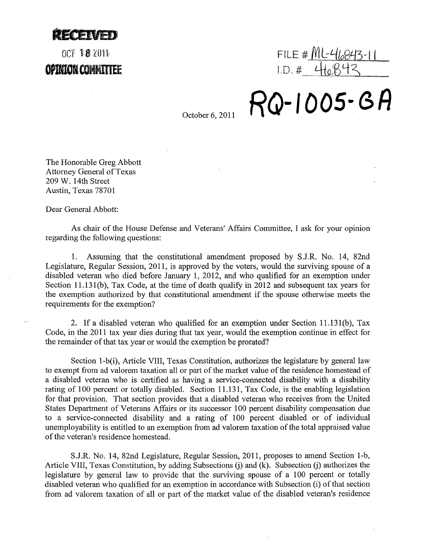**MENTEN** 

## OCT 18 2011 OPINION COMMITTEE

 $FILE #MLE'16843-11$  $1. D. 4.410075$ 

**RQ-IOOS-e,A** 

October 6, 2011

The Honorable Greg Abbott Attorney General of Texas 209 W. 14th Street Austin, Texas 78701

Dear General Abbott:

As chair of the House Defense and Veterans' Affairs Committee, I ask for your opinion regarding the following questions:

1. Assuming that the constitutional amendment proposed by SJ.R. No. 14, 82nd Legislature, Regular Session, 2011, is approved by the voters, would the surviving spouse of a disabled veteran who died before January 1, 2012, and who qualified for an exemption under Section 11.131(b), Tax Code, at the time of death qualify in 2012 and subsequent tax years for the exemption authorized by that constitutional amendment if the spouse otherwise meets the requirements for the exemption?

2. If a disabled veteran who qualified for an exemption under Section 11.131(b), Tax Code, in the 2011 tax year dies during that tax year, would the exemption continue in effect for the remainder of that tax year or would the exemption be prorated?

Section I-b(i), Article VIII, Texas Constitution, authorizes the legislature by general law to exempt from ad valorem taxation all or part of the market value of the residence homestead of a disabled veteran who is certified as having a service-connected disability with a disability rating of 100 percent or totally disabled. Section 11.131, Tax Code, is the enabling legislation for that provision. That section provides that a disabled veteran who receives from the United States Department of Veterans Affairs or its successor 100 percent disability compensation due to a service-connected disability and a rating of 100 percent disabled or of individual unemployability is entitled to an exemption from ad valorem taxation of the total appraised value of the veteran's residence homestead.

SJ.R. No. 14, 82nd Legislature, Regular Session, 2011, proposes to amend Section I-b, Article VIII, Texas Constitution, by adding Subsections (j) and (k). Subsection (j) authorizes the legislature by general law to provide that the surviving spouse of a 100 percent or totally disabled veteran who qualified for an exemption in accordance with Subsection (i) of that section from ad valorem taxation of all or part of the market value of the disabled veteran's residence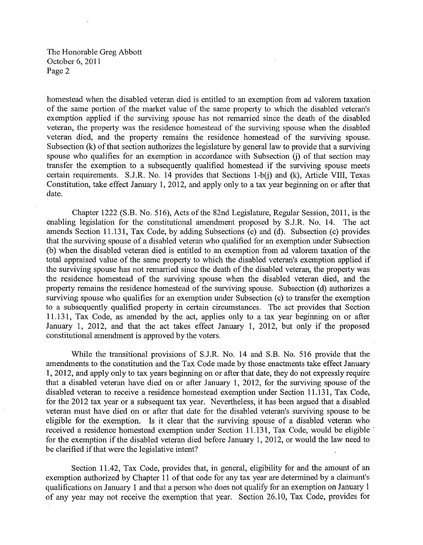The Honorable Greg Abbott October 6,2011 Page 2

homestead when the disabled veteran died is entitled to an exemption from ad valorem taxation of the same portion of the market value of the same property to which the disabled veteran's exemption applied if the surviving spouse has not remarried since the death of the disabled veteran, the property was the residence homestead of the surviving spouse when the disabled veteran died, and the property remains the residence homestead of the surviving spouse. Subsection (k) of that section authorizes the legislature by general law to provide that a surviving spouse who qualifies for an exemption in accordance with Subsection (j) of that section may transfer the exemption to a subsequently qualified homestead if the surviving spouse meets certain requirements. S.J.R. No. 14 provides that Sections 1-b(j) and (k), Article VIII, Texas Constitution, take effect January 1, 2012, and apply only to a tax year beginning on or after that date.

Chapter 1222 (S.B. No. 516), Acts of the 82nd Legislature, Regular Session, 2011, is the enabling legislation for the constitutional amendment proposed by S.J.R. No. 14. The act amends Section 11.131, Tax Code, by adding Subsections (c) and (d). Subsection (c) provides that the surviving spouse of a disabled veteran who qualified for an exemption under Subsection (b) when the disabled veteran died is entitled to an exemption from ad valorem taxation of the total appraised value of the same property to which the disabled veteran's exemption applied if the surviving spouse has not remarried since the death of the disabled veteran, the property was the residence homestead of the surviving spouse when the disabled veteran died, and the property remains the residence homestead of the surviving spouse. Subsection (d) authorizes a surviving spouse who qualifies for an exemption under Subsection (c) to transfer the exemption to a subsequently qualified property in certain circumstances. The act provides that Section 11.131, Tax Code, as amended by the act, applies only to a tax year beginning on or after January 1, 2012, and that the act takes effect January 1, 2012, but only if the proposed constitutional amendment is approved by the voters.

While the transitional provisions of S.J.R. No. 14 and S.B. No. 516 provide that the amendments to the constitution and the Tax Code made by those enactments take effect January 1,2012, and apply only to tax years beginning on or after that date, they do not expressly require that a disabled veteran have died on or after January 1, 2012, for the surviving spouse of the disabled veteran to receive a residence homestead exemption under Section 11.131, Tax Code, for the 2012 tax year or a subsequent tax year. Nevertheless, it has been argued that a disabled veteran must have died on or after that date for the disabled veteran's surviving spouse to be eligible for the exemption. Is it clear that the surviving spouse of a disabled veteran who received a residence homestead exemption under Section 11.131, Tax Code, would be eligible for the exemption if the disabled veteran died before January 1, 2012, or would the law need to be clarified if that were the legislative intent?

Section 11.42, Tax Code, provides that, in general, eligibility for and the amount of an exemption authorized by Chapter **11** of that code for any tax year are determined by a claimant's qualifications on January 1 and that a person who does not qualify for an exemption on January I of any year may not receive the exemption that year. Section 26.10, Tax Code, provides for